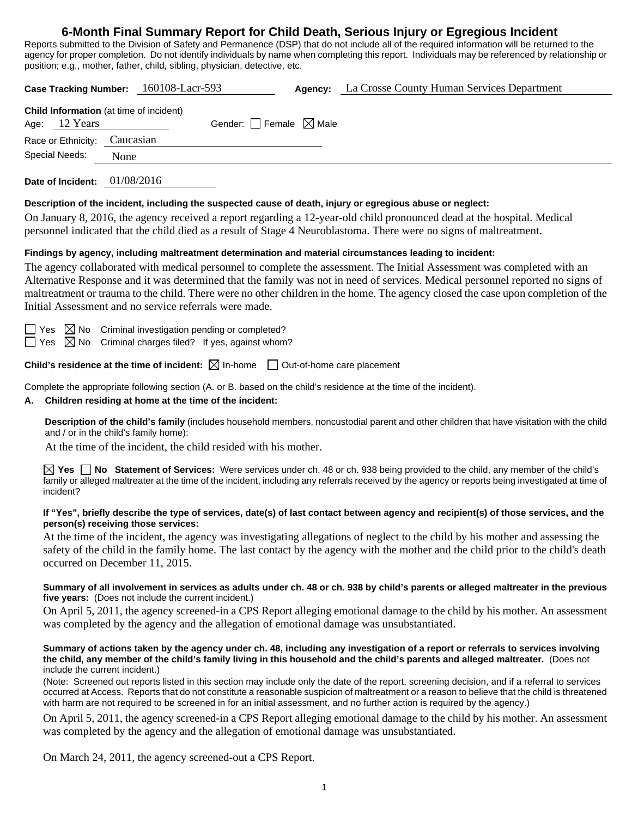## **6-Month Final Summary Report for Child Death, Serious Injury or Egregious Incident**

Reports submitted to the Division of Safety and Permanence (DSP) that do not include all of the required information will be returned to the agency for proper completion. Do not identify individuals by name when completing this report. Individuals may be referenced by relationship or position; e.g., mother, father, child, sibling, physician, detective, etc.

| Case Tracking Number: 160108-Lacr-593 |                                                                   |           |  | Agency:                         | La Crosse County Human Services Department |  |
|---------------------------------------|-------------------------------------------------------------------|-----------|--|---------------------------------|--------------------------------------------|--|
|                                       | <b>Child Information</b> (at time of incident)<br>Age: $12$ Years |           |  | Gender: Female $\boxtimes$ Male |                                            |  |
|                                       | Race or Ethnicity:                                                | Caucasian |  |                                 |                                            |  |
| Special Needs:                        |                                                                   | None      |  |                                 |                                            |  |
|                                       |                                                                   |           |  |                                 |                                            |  |

**Date of Incident:** 01/08/2016

## **Description of the incident, including the suspected cause of death, injury or egregious abuse or neglect:**

On January 8, 2016, the agency received a report regarding a 12-year-old child pronounced dead at the hospital. Medical personnel indicated that the child died as a result of Stage 4 Neuroblastoma. There were no signs of maltreatment.

## **Findings by agency, including maltreatment determination and material circumstances leading to incident:**

The agency collaborated with medical personnel to complete the assessment. The Initial Assessment was completed with an Alternative Response and it was determined that the family was not in need of services. Medical personnel reported no signs of maltreatment or trauma to the child. There were no other children in the home. The agency closed the case upon completion of the Initial Assessment and no service referrals were made.

 $\Box$  Yes  $\boxtimes$  No Criminal investigation pending or completed?

 $\Box$  Yes  $\boxtimes$  No Criminal charges filed? If yes, against whom?

**Child's residence at the time of incident:**  $\boxtimes$  In-home  $\Box$  Out-of-home care placement

Complete the appropriate following section (A. or B. based on the child's residence at the time of the incident).

## **A. Children residing at home at the time of the incident:**

**Description of the child's family** (includes household members, noncustodial parent and other children that have visitation with the child and / or in the child's family home):

At the time of the incident, the child resided with his mother.

**Yes No Statement of Services:** Were services under ch. 48 or ch. 938 being provided to the child, any member of the child's family or alleged maltreater at the time of the incident, including any referrals received by the agency or reports being investigated at time of incident?

#### **If "Yes", briefly describe the type of services, date(s) of last contact between agency and recipient(s) of those services, and the person(s) receiving those services:**

At the time of the incident, the agency was investigating allegations of neglect to the child by his mother and assessing the safety of the child in the family home. The last contact by the agency with the mother and the child prior to the child's death occurred on December 11, 2015.

#### **Summary of all involvement in services as adults under ch. 48 or ch. 938 by child's parents or alleged maltreater in the previous five years:** (Does not include the current incident.)

On April 5, 2011, the agency screened-in a CPS Report alleging emotional damage to the child by his mother. An assessment was completed by the agency and the allegation of emotional damage was unsubstantiated.

#### **Summary of actions taken by the agency under ch. 48, including any investigation of a report or referrals to services involving the child, any member of the child's family living in this household and the child's parents and alleged maltreater.** (Does not include the current incident.)

(Note: Screened out reports listed in this section may include only the date of the report, screening decision, and if a referral to services occurred at Access. Reports that do not constitute a reasonable suspicion of maltreatment or a reason to believe that the child is threatened with harm are not required to be screened in for an initial assessment, and no further action is required by the agency.)

On April 5, 2011, the agency screened-in a CPS Report alleging emotional damage to the child by his mother. An assessment was completed by the agency and the allegation of emotional damage was unsubstantiated.

On March 24, 2011, the agency screened-out a CPS Report.